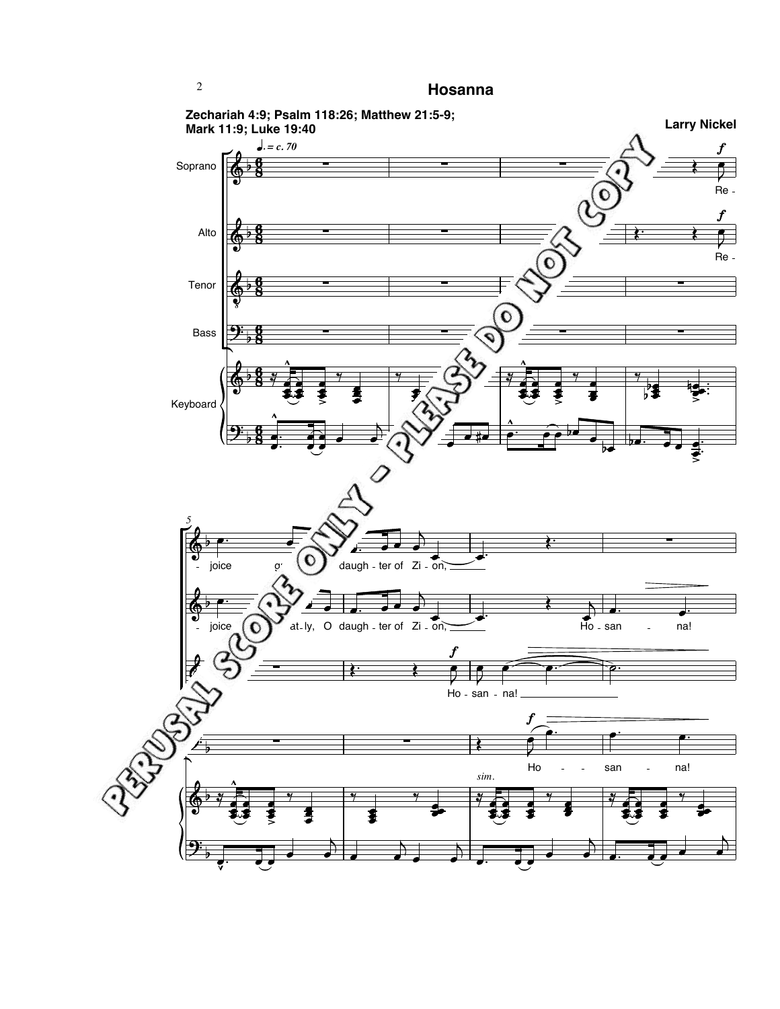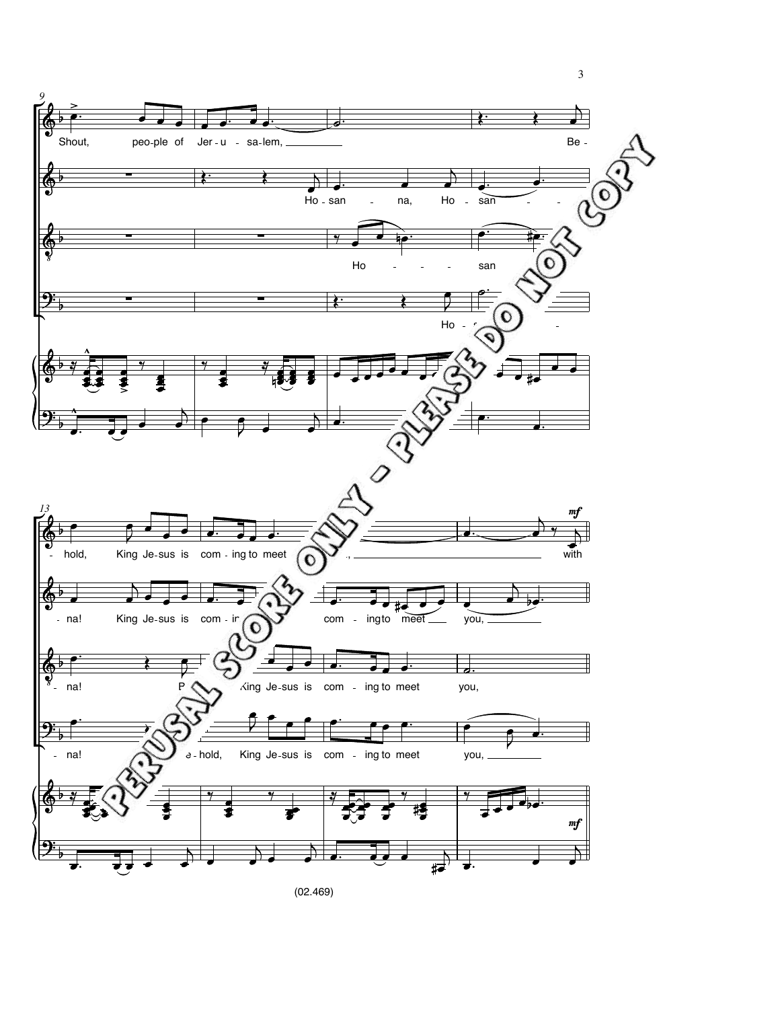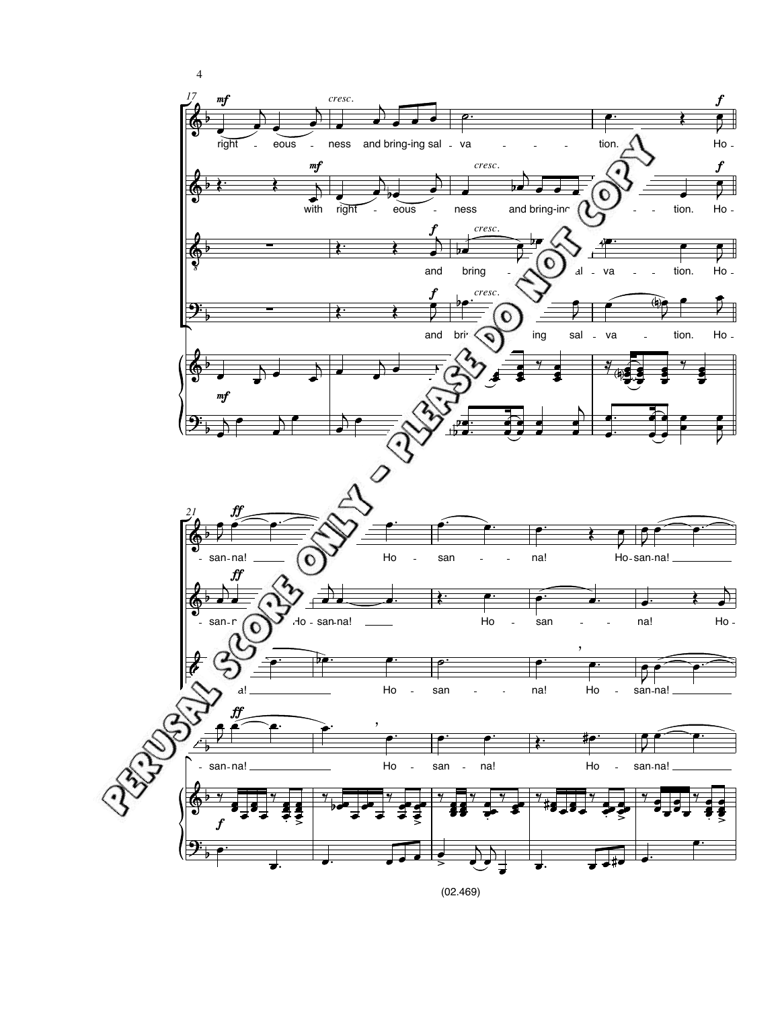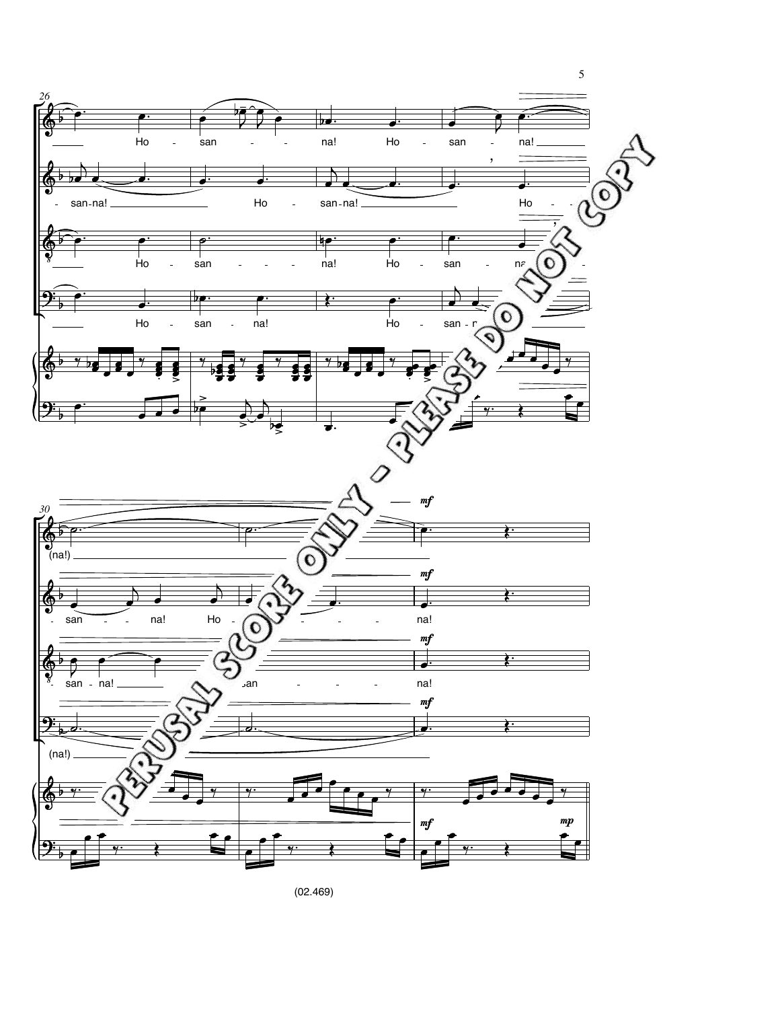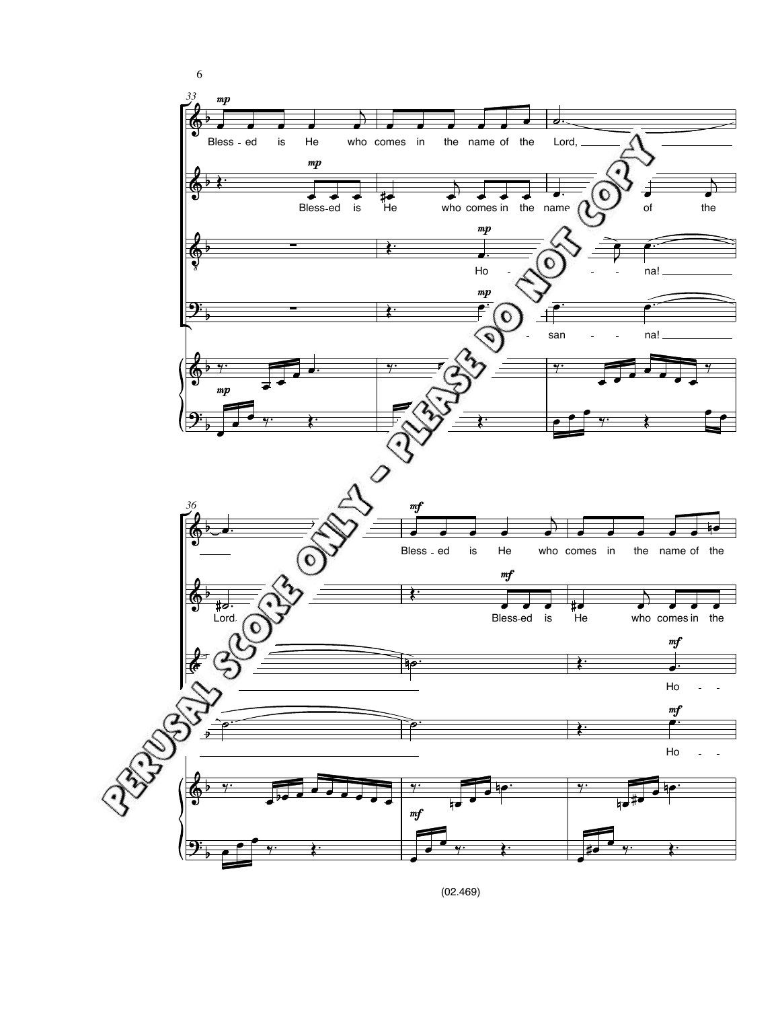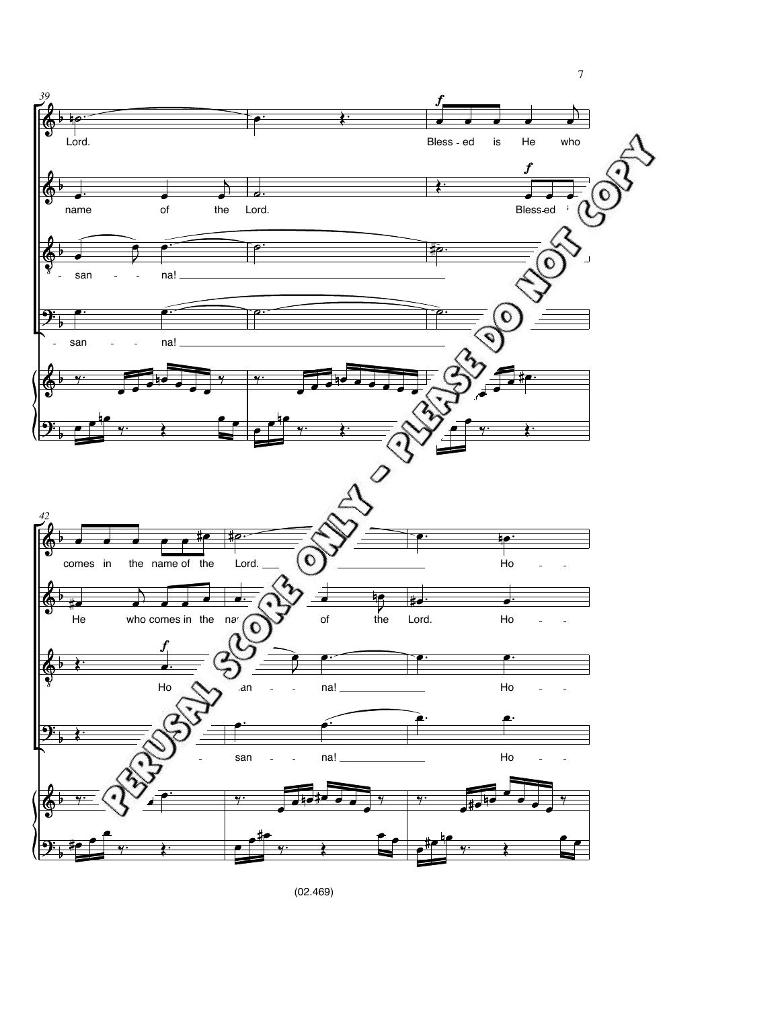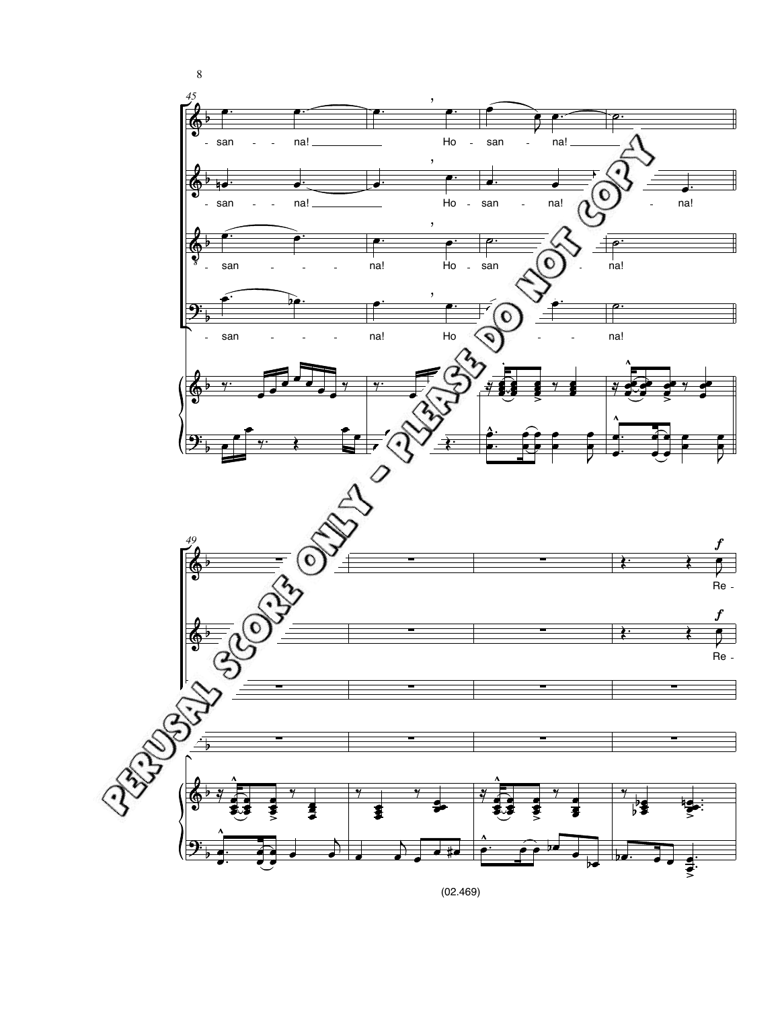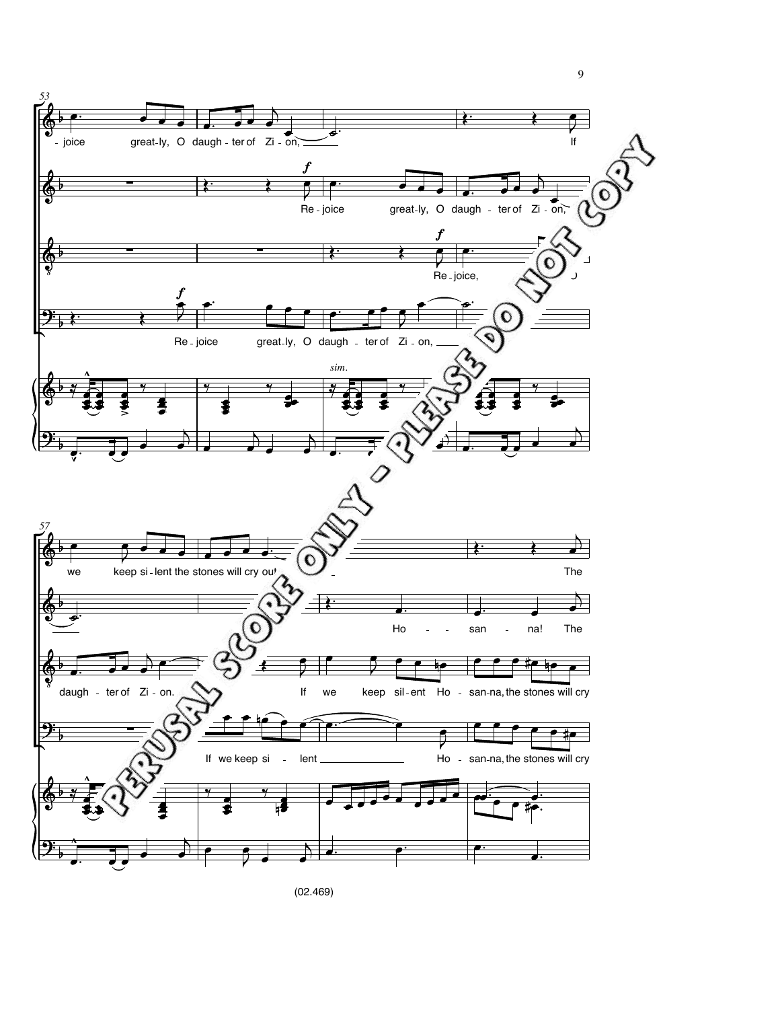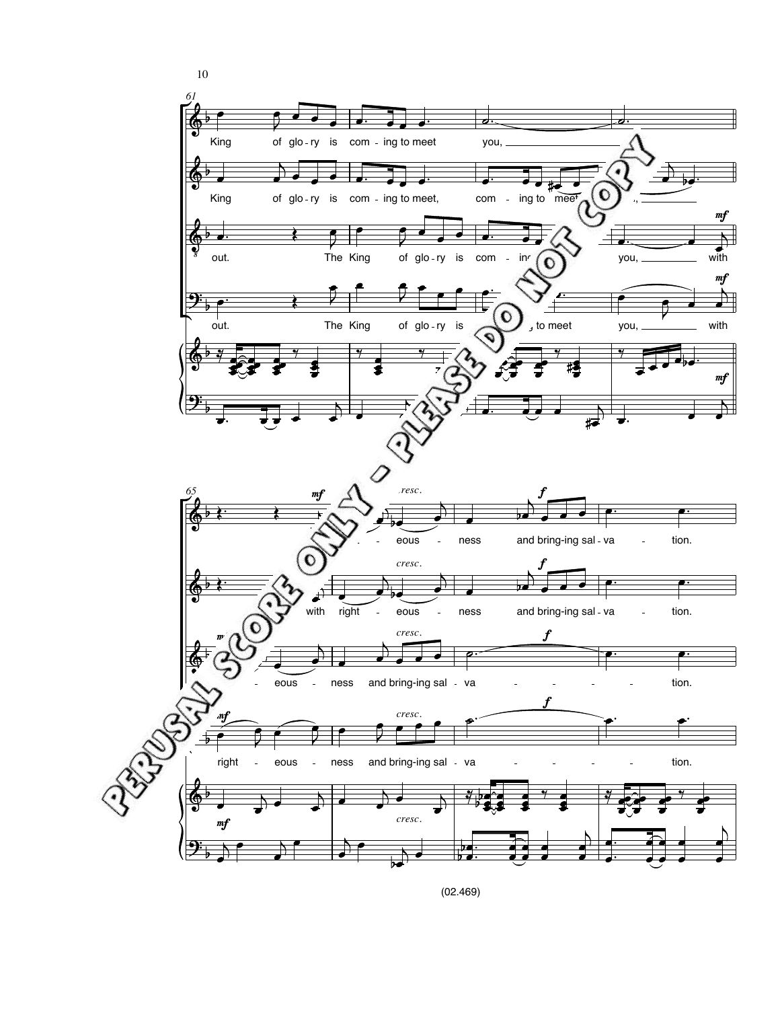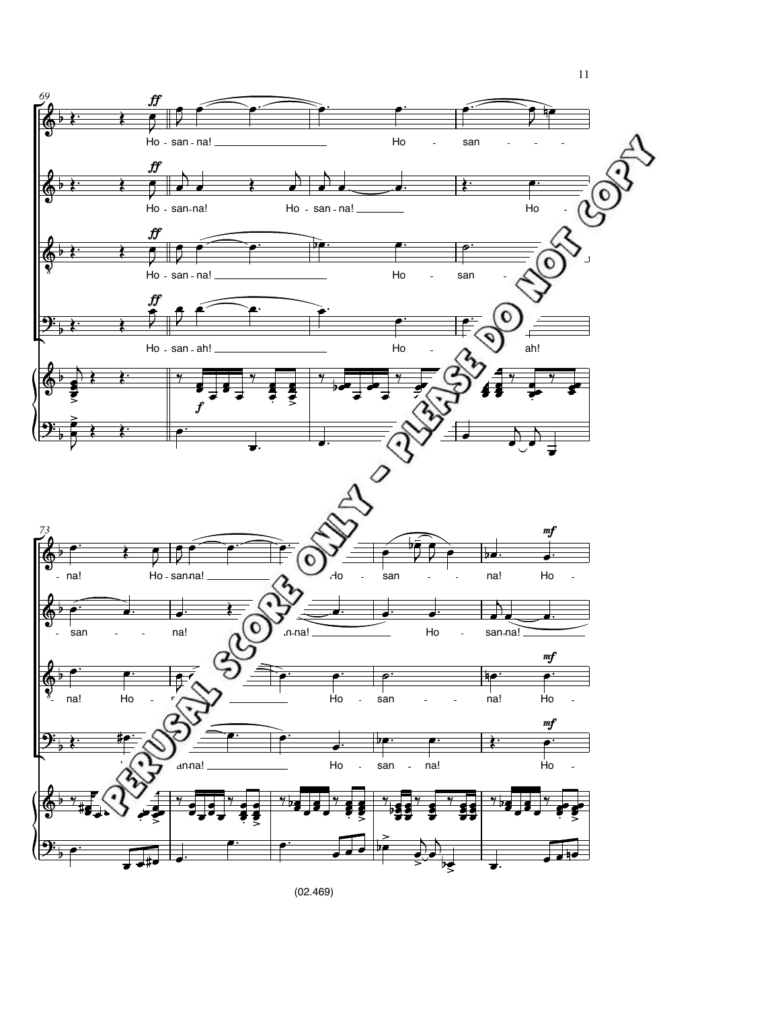